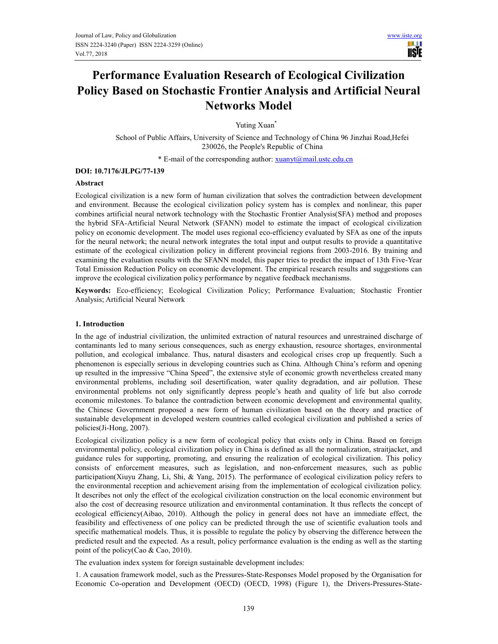Ш **USTE** 

# **Performance Evaluation Research of Ecological Civilization Policy Based on Stochastic Frontier Analysis and Artificial Neural Networks Model**

Yuting Xuan<sup>\*</sup>

School of Public Affairs, University of Science and Technology of China 96 Jinzhai Road,Hefei 230026, the People's Republic of China

\* E-mail of the corresponding author:  $xuanyt@mailustc.edu.cn$ 

## **DOI: 10.7176/JLPG/77-139**

## **Abstract**

Ecological civilization is a new form of human civilization that solves the contradiction between development and environment. Because the ecological civilization policy system has is complex and nonlinear, this paper combines artificial neural network technology with the Stochastic Frontier Analysis(SFA) method and proposes the hybrid SFA-Artificial Neural Network (SFANN) model to estimate the impact of ecological civilization policy on economic development. The model uses regional eco-efficiency evaluated by SFA as one of the inputs for the neural network; the neural network integrates the total input and output results to provide a quantitative estimate of the ecological civilization policy in different provincial regions from 2003-2016. By training and examining the evaluation results with the SFANN model, this paper tries to predict the impact of 13th Five-Year Total Emission Reduction Policy on economic development. The empirical research results and suggestions can improve the ecological civilization policy performance by negative feedback mechanisms.

**Keywords:** Eco-efficiency; Ecological Civilization Policy; Performance Evaluation; Stochastic Frontier Analysis; Artificial Neural Network

## **1. Introduction**

In the age of industrial civilization, the unlimited extraction of natural resources and unrestrained discharge of contaminants led to many serious consequences, such as energy exhaustion, resource shortages, environmental pollution, and ecological imbalance. Thus, natural disasters and ecological crises crop up frequently. Such a phenomenon is especially serious in developing countries such as China. Although China's reform and opening up resulted in the impressive "China Speed", the extensive style of economic growth nevertheless created many environmental problems, including soil desertification, water quality degradation, and air pollution. These environmental problems not only significantly depress people's heath and quality of life but also corrode economic milestones. To balance the contradiction between economic development and environmental quality, the Chinese Government proposed a new form of human civilization based on the theory and practice of sustainable development in developed western countries called ecological civilization and published a series of policies(Ji-Hong, 2007).

Ecological civilization policy is a new form of ecological policy that exists only in China. Based on foreign environmental policy, ecological civilization policy in China is defined as all the normalization, straitjacket, and guidance rules for supporting, promoting, and ensuring the realization of ecological civilization. This policy consists of enforcement measures, such as legislation, and non-enforcement measures, such as public participation(Xiuyu Zhang, Li, Shi, & Yang, 2015). The performance of ecological civilization policy refers to the environmental reception and achievement arising from the implementation of ecological civilization policy. It describes not only the effect of the ecological civilization construction on the local economic environment but also the cost of decreasing resource utilization and environmental contamination. It thus reflects the concept of ecological efficiency(Aibao, 2010). Although the policy in general does not have an immediate effect, the feasibility and effectiveness of one policy can be predicted through the use of scientific evaluation tools and specific mathematical models. Thus, it is possible to regulate the policy by observing the difference between the predicted result and the expected. As a result, policy performance evaluation is the ending as well as the starting point of the policy(Cao & Cao, 2010).

The evaluation index system for foreign sustainable development includes:

1. A causation framework model, such as the Pressures-State-Responses Model proposed by the Organisation for Economic Co-operation and Development (OECD) (OECD, 1998) (Figure 1), the Drivers-Pressures-State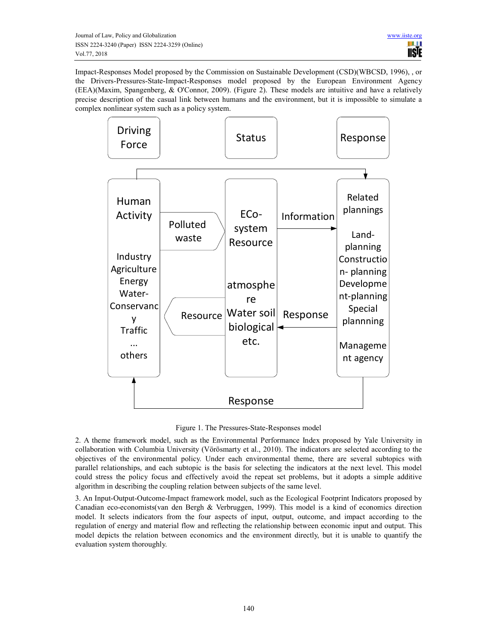Impact-Responses Model proposed by the Commission on Sustainable Development (CSD)(WBCSD, 1996), , or the Drivers-Pressures-State-Impact-Responses model proposed by the European Environment Agency (EEA)(Maxim, Spangenberg, & O'Connor, 2009). (Figure 2). These models are intuitive and have a relatively precise description of the casual link between humans and the environment, but it is impossible to simulate a complex nonlinear system such as a policy system.



Figure 1. The Pressures-State-Responses model

2. A theme framework model, such as the Environmental Performance Index proposed by Yale University in collaboration with Columbia University (Vörösmarty et al., 2010). The indicators are selected according to the objectives of the environmental policy. Under each environmental theme, there are several subtopics with parallel relationships, and each subtopic is the basis for selecting the indicators at the next level. This model could stress the policy focus and effectively avoid the repeat set problems, but it adopts a simple additive algorithm in describing the coupling relation between subjects of the same level.

3. An Input-Output-Outcome-Impact framework model, such as the Ecological Footprint Indicators proposed by Canadian eco-economists(van den Bergh & Verbruggen, 1999). This model is a kind of economics direction model. It selects indicators from the four aspects of input, output, outcome, and impact according to the regulation of energy and material flow and reflecting the relationship between economic input and output. This model depicts the relation between economics and the environment directly, but it is unable to quantify the evaluation system thoroughly.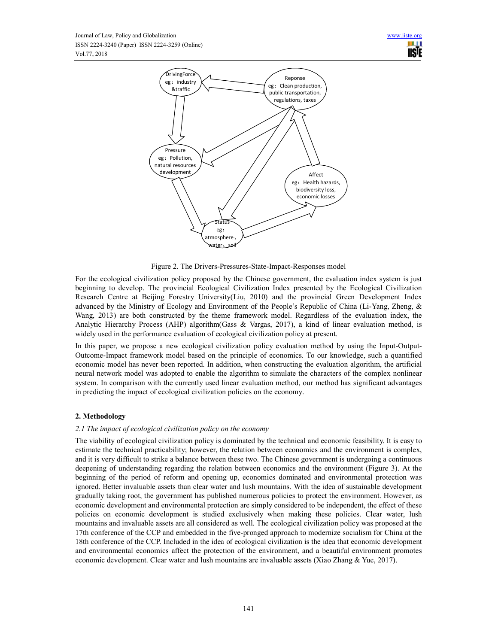

Figure 2. The Drivers-Pressures-State-Impact-Responses model

For the ecological civilization policy proposed by the Chinese government, the evaluation index system is just beginning to develop. The provincial Ecological Civilization Index presented by the Ecological Civilization Research Centre at Beijing Forestry University(Liu, 2010) and the provincial Green Development Index advanced by the Ministry of Ecology and Environment of the People's Republic of China (Li-Yang, Zheng, & Wang, 2013) are both constructed by the theme framework model. Regardless of the evaluation index, the Analytic Hierarchy Process (AHP) algorithm(Gass & Vargas, 2017), a kind of linear evaluation method, is widely used in the performance evaluation of ecological civilization policy at present.

In this paper, we propose a new ecological civilization policy evaluation method by using the Input-Output-Outcome-Impact framework model based on the principle of economics. To our knowledge, such a quantified economic model has never been reported. In addition, when constructing the evaluation algorithm, the artificial neural network model was adopted to enable the algorithm to simulate the characters of the complex nonlinear system. In comparison with the currently used linear evaluation method, our method has significant advantages in predicting the impact of ecological civilization policies on the economy.

# **2. Methodology**

# *2.1 The impact of ecological civilization policy on the economy*

The viability of ecological civilization policy is dominated by the technical and economic feasibility. It is easy to estimate the technical practicability; however, the relation between economics and the environment is complex, and it is very difficult to strike a balance between these two. The Chinese government is undergoing a continuous deepening of understanding regarding the relation between economics and the environment (Figure 3). At the beginning of the period of reform and opening up, economics dominated and environmental protection was ignored. Better invaluable assets than clear water and lush mountains. With the idea of sustainable development gradually taking root, the government has published numerous policies to protect the environment. However, as economic development and environmental protection are simply considered to be independent, the effect of these policies on economic development is studied exclusively when making these policies. Clear water, lush mountains and invaluable assets are all considered as well. The ecological civilization policy was proposed at the 17th conference of the CCP and embedded in the five-pronged approach to modernize socialism for China at the 18th conference of the CCP. Included in the idea of ecological civilization is the idea that economic development and environmental economics affect the protection of the environment, and a beautiful environment promotes economic development. Clear water and lush mountains are invaluable assets (Xiao Zhang & Yue, 2017).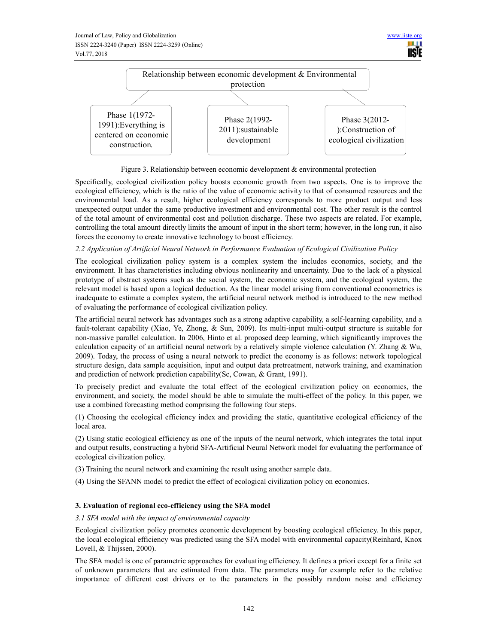

Figure 3. Relationship between economic development & environmental protection

Specifically, ecological civilization policy boosts economic growth from two aspects. One is to improve the ecological efficiency, which is the ratio of the value of economic activity to that of consumed resources and the environmental load. As a result, higher ecological efficiency corresponds to more product output and less unexpected output under the same productive investment and environmental cost. The other result is the control of the total amount of environmental cost and pollution discharge. These two aspects are related. For example, controlling the total amount directly limits the amount of input in the short term; however, in the long run, it also forces the economy to create innovative technology to boost efficiency.

# *2.2 Application of Artificial Neural Network in Performance Evaluation of Ecological Civilization Policy*

The ecological civilization policy system is a complex system the includes economics, society, and the environment. It has characteristics including obvious nonlinearity and uncertainty. Due to the lack of a physical prototype of abstract systems such as the social system, the economic system, and the ecological system, the relevant model is based upon a logical deduction. As the linear model arising from conventional econometrics is inadequate to estimate a complex system, the artificial neural network method is introduced to the new method of evaluating the performance of ecological civilization policy.

The artificial neural network has advantages such as a strong adaptive capability, a self-learning capability, and a fault-tolerant capability (Xiao, Ye, Zhong, & Sun, 2009). Its multi-input multi-output structure is suitable for non-massive parallel calculation. In 2006, Hinto et al. proposed deep learning, which significantly improves the calculation capacity of an artificial neural network by a relatively simple violence calculation (Y. Zhang & Wu, 2009). Today, the process of using a neural network to predict the economy is as follows: network topological structure design, data sample acquisition, input and output data pretreatment, network training, and examination and prediction of network prediction capability(Sc, Cowan, & Grant, 1991).

To precisely predict and evaluate the total effect of the ecological civilization policy on economics, the environment, and society, the model should be able to simulate the multi-effect of the policy. In this paper, we use a combined forecasting method comprising the following four steps.

(1) Choosing the ecological efficiency index and providing the static, quantitative ecological efficiency of the local area.

(2) Using static ecological efficiency as one of the inputs of the neural network, which integrates the total input and output results, constructing a hybrid SFA-Artificial Neural Network model for evaluating the performance of ecological civilization policy.

(3) Training the neural network and examining the result using another sample data.

(4) Using the SFANN model to predict the effect of ecological civilization policy on economics.

# **3. Evaluation of regional eco-efficiency using the SFA model**

# *3.1 SFA model with the impact of environmental capacity*

Ecological civilization policy promotes economic development by boosting ecological efficiency. In this paper, the local ecological efficiency was predicted using the SFA model with environmental capacity(Reinhard, Knox Lovell, & Thijssen, 2000).

The SFA model is one of parametric approaches for evaluating efficiency. It defines a priori except for a finite set of unknown parameters that are estimated from data. The parameters may for example refer to the relative importance of different cost drivers or to the parameters in the possibly random noise and efficiency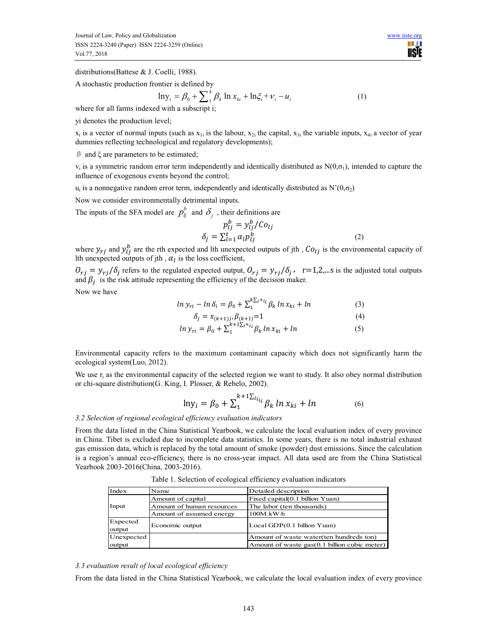distributions(Battese & J. Coelli, 1988).

A stochastic production frontier is defined by

$$
\ln y_i = \beta_0 + \sum_{i=1}^{k} \beta_k \ln x_{ki} + \ln \xi_i + \nu_i - u_i
$$
 (1)

where for all farms indexed with a subscript i;

yi denotes the production level;

 $x_i$  is a vector of normal inputs (such as  $x_{1i}$  is the labour,  $x_{2i}$  the capital,  $x_{3i}$  the variable inputs,  $x_{4i}$  a vector of year dummies reflecting technological and regulatory developments);

β and ξ are parameters to be estimated;

 $v_i$  is a symmetric random error term independently and identically distributed as  $N(0,\sigma_1)$ , intended to capture the influence of exogenous events beyond the control;

 $u_i$  is a nonnegative random error term, independently and identically distributed as  $N'(0, \sigma_2)$ 

Now we consider environmentally detrimental inputs.

The inputs of the SFA model are  $p_j^b$  and  $\delta_j$ , their definitions are

$$
p_{lj}^b = y_{lj}^b / C o_{lj}
$$
  

$$
\delta_j = \sum_{l=1}^t \alpha_l p_{lj}^b
$$
 (2)

where  $y_{rj}$  and  $y_{lj}^b$  are the rth expected and lth unexpected outputs of jth,  $Co_{lj}$  is the environmental capacity of Ith unexpected outputs of jth,  $\alpha_l$  is the loss coefficient,

 $O_{rj} = y_{rj}/\delta_j$  refers to the regulated expected output,  $O_{rj} = y_{rj}/\delta_j$ , r=1,2,...s is the adjusted total outputs and  $\beta_j$  is the risk attitude representing the efficiency of the decision maker.

Now we have

$$
\ln y_{ri} - \ln \delta_i = \beta_0 + \sum_{i=1}^{k} \sum_{i=1}^{i+1} \beta_k \ln x_{ki} + \ln \tag{3}
$$

$$
\delta_j = x_{(k+1)j}, \beta_{(k+1)} = 1 \tag{4}
$$

$$
ln y_{ri} = \beta_0 + \sum_{1}^{k+1} \sum_{i}^{i} \beta_k ln x_{ki} + ln \tag{5}
$$

Environmental capacity refers to the maximum contaminant capacity which does not significantly harm the ecological system(Luo, 2012).

We use  $r_i$  as the environmental capacity of the selected region we want to study. It also obey normal distribution or chi-square distribution(G. King, I. Plosser, & Rebelo, 2002).

$$
\ln y_i = \beta_0 + \sum_{1}^{k+1} \sum_{i}^{i} \beta_k \ln x_{ki} + \ln \tag{6}
$$

## *3.2 Selection of regional ecological efficiency evaluation indicators*

From the data listed in the China Statistical Yearbook, we calculate the local evaluation index of every province in China. Tibet is excluded due to incomplete data statistics. In some years, there is no total industrial exhaust gas emission data, which is replaced by the total amount of smoke (powder) dust emissions. Since the calculation is a region's annual eco-efficiency, there is no cross-year impact. All data used are from the China Statistical Yearbook 2003-2016(China, 2003-2016).

| Index              | Name                      | Detailed description                         |  |  |
|--------------------|---------------------------|----------------------------------------------|--|--|
|                    | Amount of capital         | Fixed capital(0.1 billion Yuan)              |  |  |
| Input              | Amount of human resources | The labor (ten thousands)                    |  |  |
|                    | Amount of assumed energy  | $100M$ kW $\cdot$ h                          |  |  |
| Expected<br>output | Economic output           | Local GDP(0.1 billion Yuan)                  |  |  |
| Unexpected         |                           | Amount of waste water (ten hundreds ton)     |  |  |
| output             |                           | Amount of waste gas(0.1 billion cubic meter) |  |  |

Table 1. Selection of ecological efficiency evaluation indicators

#### *3.3 evaluation result of local ecological efficiency*

From the data listed in the China Statistical Yearbook, we calculate the local evaluation index of every province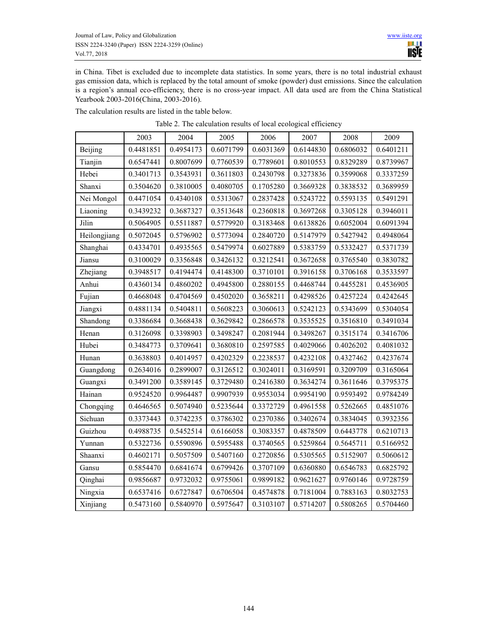in China. Tibet is excluded due to incomplete data statistics. In some years, there is no total industrial exhaust gas emission data, which is replaced by the total amount of smoke (powder) dust emissions. Since the calculation is a region's annual eco-efficiency, there is no cross-year impact. All data used are from the China Statistical Yearbook 2003-2016(China, 2003-2016).

The calculation results are listed in the table below.

|              | 2003      | 2004      | 2005      | 2006      | 2007      | 2008      | 2009      |
|--------------|-----------|-----------|-----------|-----------|-----------|-----------|-----------|
| Beijing      | 0.4481851 | 0.4954173 | 0.6071799 | 0.6031369 | 0.6144830 | 0.6806032 | 0.6401211 |
| Tianjin      | 0.6547441 | 0.8007699 | 0.7760539 | 0.7789601 | 0.8010553 | 0.8329289 | 0.8739967 |
| Hebei        | 0.3401713 | 0.3543931 | 0.3611803 | 0.2430798 | 0.3273836 | 0.3599068 | 0.3337259 |
| Shanxi       | 0.3504620 | 0.3810005 | 0.4080705 | 0.1705280 | 0.3669328 | 0.3838532 | 0.3689959 |
| Nei Mongol   | 0.4471054 | 0.4340108 | 0.5313067 | 0.2837428 | 0.5243722 | 0.5593135 | 0.5491291 |
| Liaoning     | 0.3439232 | 0.3687327 | 0.3513648 | 0.2360818 | 0.3697268 | 0.3305128 | 0.3946011 |
| Jilin        | 0.5064905 | 0.5511887 | 0.5779920 | 0.3183468 | 0.6138826 | 0.6052004 | 0.6091394 |
| Heilongjiang | 0.5072045 | 0.5796902 | 0.5773094 | 0.2840720 | 0.5147979 | 0.5427942 | 0.4948064 |
| Shanghai     | 0.4334701 | 0.4935565 | 0.5479974 | 0.6027889 | 0.5383759 | 0.5332427 | 0.5371739 |
| Jiansu       | 0.3100029 | 0.3356848 | 0.3426132 | 0.3212541 | 0.3672658 | 0.3765540 | 0.3830782 |
| Zhejiang     | 0.3948517 | 0.4194474 | 0.4148300 | 0.3710101 | 0.3916158 | 0.3706168 | 0.3533597 |
| Anhui        | 0.4360134 | 0.4860202 | 0.4945800 | 0.2880155 | 0.4468744 | 0.4455281 | 0.4536905 |
| Fujian       | 0.4668048 | 0.4704569 | 0.4502020 | 0.3658211 | 0.4298526 | 0.4257224 | 0.4242645 |
| Jiangxi      | 0.4881134 | 0.5404811 | 0.5608223 | 0.3060613 | 0.5242123 | 0.5343699 | 0.5304054 |
| Shandong     | 0.3386684 | 0.3668438 | 0.3629842 | 0.2866578 | 0.3535525 | 0.3516810 | 0.3491034 |
| Henan        | 0.3126098 | 0.3398903 | 0.3498247 | 0.2081944 | 0.3498267 | 0.3515174 | 0.3416706 |
| Hubei        | 0.3484773 | 0.3709641 | 0.3680810 | 0.2597585 | 0.4029066 | 0.4026202 | 0.4081032 |
| Hunan        | 0.3638803 | 0.4014957 | 0.4202329 | 0.2238537 | 0.4232108 | 0.4327462 | 0.4237674 |
| Guangdong    | 0.2634016 | 0.2899007 | 0.3126512 | 0.3024011 | 0.3169591 | 0.3209709 | 0.3165064 |
| Guangxi      | 0.3491200 | 0.3589145 | 0.3729480 | 0.2416380 | 0.3634274 | 0.3611646 | 0.3795375 |
| Hainan       | 0.9524520 | 0.9964487 | 0.9907939 | 0.9553034 | 0.9954190 | 0.9593492 | 0.9784249 |
| Chongqing    | 0.4646565 | 0.5074940 | 0.5235644 | 0.3372729 | 0.4961558 | 0.5262665 | 0.4851076 |
| Sichuan      | 0.3373443 | 0.3742235 | 0.3786302 | 0.2370386 | 0.3402674 | 0.3834045 | 0.3932356 |
| Guizhou      | 0.4988735 | 0.5452514 | 0.6166058 | 0.3083357 | 0.4878509 | 0.6443778 | 0.6210713 |
| Yunnan       | 0.5322736 | 0.5590896 | 0.5955488 | 0.3740565 | 0.5259864 | 0.5645711 | 0.5166952 |
| Shaanxi      | 0.4602171 | 0.5057509 | 0.5407160 | 0.2720856 | 0.5305565 | 0.5152907 | 0.5060612 |
| Gansu        | 0.5854470 | 0.6841674 | 0.6799426 | 0.3707109 | 0.6360880 | 0.6546783 | 0.6825792 |
| Qinghai      | 0.9856687 | 0.9732032 | 0.9755061 | 0.9899182 | 0.9621627 | 0.9760146 | 0.9728759 |
| Ningxia      | 0.6537416 | 0.6727847 | 0.6706504 | 0.4574878 | 0.7181004 | 0.7883163 | 0.8032753 |
| Xinjiang     | 0.5473160 | 0.5840970 | 0.5975647 | 0.3103107 | 0.5714207 | 0.5808265 | 0.5704460 |

| Table 2. The calculation results of local ecological efficiency |  |  |
|-----------------------------------------------------------------|--|--|
|                                                                 |  |  |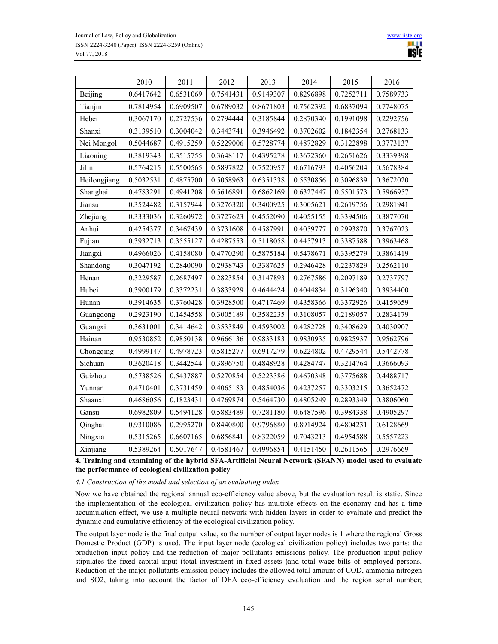

|              | 2010      | 2011      | 2012      | 2013      | 2014      | 2015      | 2016      |
|--------------|-----------|-----------|-----------|-----------|-----------|-----------|-----------|
| Beijing      | 0.6417642 | 0.6531069 | 0.7541431 | 0.9149307 | 0.8296898 | 0.7252711 | 0.7589733 |
| Tianjin      | 0.7814954 | 0.6909507 | 0.6789032 | 0.8671803 | 0.7562392 | 0.6837094 | 0.7748075 |
| Hebei        | 0.3067170 | 0.2727536 | 0.2794444 | 0.3185844 | 0.2870340 | 0.1991098 | 0.2292756 |
| Shanxi       | 0.3139510 | 0.3004042 | 0.3443741 | 0.3946492 | 0.3702602 | 0.1842354 | 0.2768133 |
| Nei Mongol   | 0.5044687 | 0.4915259 | 0.5229006 | 0.5728774 | 0.4872829 | 0.3122898 | 0.3773137 |
| Liaoning     | 0.3819343 | 0.3515755 | 0.3648117 | 0.4395278 | 0.3672360 | 0.2651626 | 0.3339398 |
| Jilin        | 0.5764215 | 0.5500565 | 0.5897822 | 0.7520957 | 0.6716793 | 0.4056204 | 0.5678384 |
| Heilongjiang | 0.5032531 | 0.4875700 | 0.5058963 | 0.6351338 | 0.5530856 | 0.3096839 | 0.3672020 |
| Shanghai     | 0.4783291 | 0.4941208 | 0.5616891 | 0.6862169 | 0.6327447 | 0.5501573 | 0.5966957 |
| Jiansu       | 0.3524482 | 0.3157944 | 0.3276320 | 0.3400925 | 0.3005621 | 0.2619756 | 0.2981941 |
| Zhejiang     | 0.3333036 | 0.3260972 | 0.3727623 | 0.4552090 | 0.4055155 | 0.3394506 | 0.3877070 |
| Anhui        | 0.4254377 | 0.3467439 | 0.3731608 | 0.4587991 | 0.4059777 | 0.2993870 | 0.3767023 |
| Fujian       | 0.3932713 | 0.3555127 | 0.4287553 | 0.5118058 | 0.4457913 | 0.3387588 | 0.3963468 |
| Jiangxi      | 0.4966026 | 0.4158080 | 0.4770290 | 0.5875184 | 0.5478671 | 0.3395279 | 0.3861419 |
| Shandong     | 0.3047192 | 0.2840090 | 0.2938743 | 0.3387625 | 0.2946428 | 0.2237829 | 0.2562110 |
| Henan        | 0.3229587 | 0.2687497 | 0.2823854 | 0.3147893 | 0.2767586 | 0.2097189 | 0.2737797 |
| Hubei        | 0.3900179 | 0.3372231 | 0.3833929 | 0.4644424 | 0.4044834 | 0.3196340 | 0.3934400 |
| Hunan        | 0.3914635 | 0.3760428 | 0.3928500 | 0.4717469 | 0.4358366 | 0.3372926 | 0.4159659 |
| Guangdong    | 0.2923190 | 0.1454558 | 0.3005189 | 0.3582235 | 0.3108057 | 0.2189057 | 0.2834179 |
| Guangxi      | 0.3631001 | 0.3414642 | 0.3533849 | 0.4593002 | 0.4282728 | 0.3408629 | 0.4030907 |
| Hainan       | 0.9530852 | 0.9850138 | 0.9666136 | 0.9833183 | 0.9830935 | 0.9825937 | 0.9562796 |
| Chongqing    | 0.4999147 | 0.4978723 | 0.5815277 | 0.6917279 | 0.6224802 | 0.4729544 | 0.5442778 |
| Sichuan      | 0.3620418 | 0.3442544 | 0.3896750 | 0.4848928 | 0.4284747 | 0.3214764 | 0.3666093 |
| Guizhou      | 0.5738526 | 0.5437887 | 0.5270854 | 0.5223386 | 0.4670348 | 0.3775688 | 0.4488717 |
| Yunnan       | 0.4710401 | 0.3731459 | 0.4065183 | 0.4854036 | 0.4237257 | 0.3303215 | 0.3652472 |
| Shaanxi      | 0.4686056 | 0.1823431 | 0.4769874 | 0.5464730 | 0.4805249 | 0.2893349 | 0.3806060 |
| Gansu        | 0.6982809 | 0.5494128 | 0.5883489 | 0.7281180 | 0.6487596 | 0.3984338 | 0.4905297 |
| Qinghai      | 0.9310086 | 0.2995270 | 0.8440800 | 0.9796880 | 0.8914924 | 0.4804231 | 0.6128669 |
| Ningxia      | 0.5315265 | 0.6607165 | 0.6856841 | 0.8322059 | 0.7043213 | 0.4954588 | 0.5557223 |
| Xinjiang     | 0.5389264 | 0.5017647 | 0.4581467 | 0.4996854 | 0.4151450 | 0.2611565 | 0.2976669 |

**4. Training and examining of the hybrid SFA-Artificial Neural Network (SFANN) model used to evaluate the performance of ecological civilization policy** 

*4.1 Construction of the model and selection of an evaluating index* 

Now we have obtained the regional annual eco-efficiency value above, but the evaluation result is static. Since the implementation of the ecological civilization policy has multiple effects on the economy and has a time accumulation effect, we use a multiple neural network with hidden layers in order to evaluate and predict the dynamic and cumulative efficiency of the ecological civilization policy.

The output layer node is the final output value, so the number of output layer nodes is 1 where the regional Gross Domestic Product (GDP) is used. The input layer node (ecological civilization policy) includes two parts: the production input policy and the reduction of major pollutants emissions policy. The production input policy stipulates the fixed capital input (total investment in fixed assets )and total wage bills of employed persons. Reduction of the major pollutants emission policy includes the allowed total amount of COD, ammonia nitrogen and SO2, taking into account the factor of DEA eco-efficiency evaluation and the region serial number;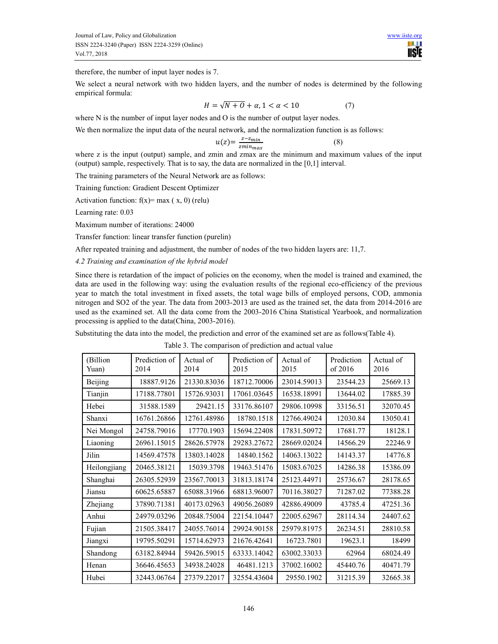

therefore, the number of input layer nodes is 7.

We select a neural network with two hidden layers, and the number of nodes is determined by the following empirical formula:

$$
H = \sqrt{N+0} + \alpha, 1 < \alpha < 10 \tag{7}
$$

where N is the number of input layer nodes and O is the number of output layer nodes.

We then normalize the input data of the neural network, and the normalization function is as follows:

$$
u(z) = \frac{z - z_{min}}{z_{minmax}}\tag{8}
$$

where z is the input (output) sample, and zmin and zmax are the minimum and maximum values of the input (output) sample, respectively. That is to say, the data are normalized in the [0,1] interval.

The training parameters of the Neural Network are as follows:

Training function: Gradient Descent Optimizer

Activation function:  $f(x) = max(x, 0)$  (relu)

Learning rate: 0.03

Maximum number of iterations: 24000

Transfer function: linear transfer function (purelin)

After repeated training and adjustment, the number of nodes of the two hidden layers are: 11,7.

*4.2 Training and examination of the hybrid model* 

Since there is retardation of the impact of policies on the economy, when the model is trained and examined, the data are used in the following way: using the evaluation results of the regional eco-efficiency of the previous year to match the total investment in fixed assets, the total wage bills of employed persons, COD, ammonia nitrogen and SO2 of the year. The data from 2003-2013 are used as the trained set, the data from 2014-2016 are used as the examined set. All the data come from the 2003-2016 China Statistical Yearbook, and normalization processing is applied to the data(China, 2003-2016).

Substituting the data into the model, the prediction and error of the examined set are as follows(Table 4).

Table 3. The comparison of prediction and actual value

| (Billion<br>Yuan) | Prediction of<br>2014 | Actual of<br>2014 | Prediction of<br>2015 | Actual of<br>2015 | Prediction<br>of 2016 | Actual of<br>2016 |
|-------------------|-----------------------|-------------------|-----------------------|-------------------|-----------------------|-------------------|
| Beijing           | 18887.9126            | 21330.83036       | 18712.70006           | 23014.59013       | 23544.23              | 25669.13          |
| Tianjin           | 17188.77801           | 15726.93031       | 17061.03645           | 16538.18991       | 13644.02              | 17885.39          |
| Hebei             | 31588.1589            | 29421.15          | 33176.86107           | 29806.10998       | 33156.51              | 32070.45          |
| Shanxi            | 16761.26866           | 12761.48986       | 18780.1518            | 12766.49024       | 12030.84              | 13050.41          |
| Nei Mongol        | 24758.79016           | 17770.1903        | 15694.22408           | 17831.50972       | 17681.77              | 18128.1           |
| Liaoning          | 26961.15015           | 28626.57978       | 29283.27672           | 28669.02024       | 14566.29              | 22246.9           |
| Jilin             | 14569.47578           | 13803.14028       | 14840.1562            | 14063.13022       | 14143.37              | 14776.8           |
| Heilongjiang      | 20465.38121           | 15039.3798        | 19463.51476           | 15083.67025       | 14286.38              | 15386.09          |
| Shanghai          | 26305.52939           | 23567.70013       | 31813.18174           | 25123.44971       | 25736.67              | 28178.65          |
| Jiansu            | 60625.65887           | 65088.31966       | 68813.96007           | 70116.38027       | 71287.02              | 77388.28          |
| Zhejiang          | 37890.71381           | 40173.02963       | 49056.26089           | 42886.49009       | 43785.4               | 47251.36          |
| Anhui             | 24979.03296           | 20848.75004       | 22154.10447           | 22005.62967       | 28114.34              | 24407.62          |
| Fujian            | 21505.38417           | 24055.76014       | 29924.90158           | 25979.81975       | 26234.51              | 28810.58          |
| Jiangxi           | 19795.50291           | 15714.62973       | 21676.42641           | 16723.7801        | 19623.1               | 18499             |
| Shandong          | 63182.84944           | 59426.59015       | 63333.14042           | 63002.33033       | 62964                 | 68024.49          |
| Henan             | 36646.45653           | 34938.24028       | 46481.1213            | 37002.16002       | 45440.76              | 40471.79          |
| Hubei             | 32443.06764           | 27379.22017       | 32554.43604           | 29550.1902        | 31215.39              | 32665.38          |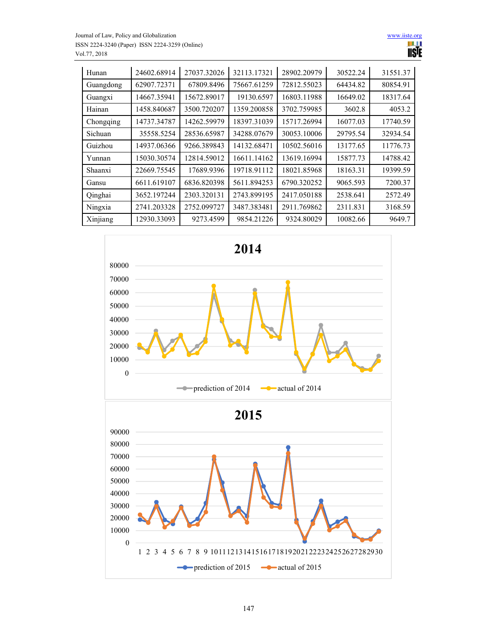

| Hunan     | 24602.68914 | 27037.32026 | 32113.17321 | 28902.20979 | 30522.24 | 31551.37 |
|-----------|-------------|-------------|-------------|-------------|----------|----------|
| Guangdong | 62907.72371 | 67809.8496  | 75667.61259 | 72812.55023 | 64434.82 | 80854.91 |
| Guangxi   | 14667.35941 | 15672.89017 | 19130.6597  | 16803.11988 | 16649.02 | 18317.64 |
| Hainan    | 1458.840687 | 3500.720207 | 1359.200858 | 3702.759985 | 3602.8   | 4053.2   |
| Chongqing | 14737.34787 | 14262.59979 | 18397.31039 | 15717.26994 | 16077.03 | 17740.59 |
| Sichuan   | 35558.5254  | 28536.65987 | 34288.07679 | 30053.10006 | 29795.54 | 32934.54 |
| Guizhou   | 14937.06366 | 9266.389843 | 14132.68471 | 10502.56016 | 13177.65 | 11776.73 |
| Yunnan    | 15030.30574 | 12814.59012 | 16611.14162 | 13619.16994 | 15877.73 | 14788.42 |
| Shaanxi   | 22669.75545 | 17689.9396  | 19718.91112 | 18021.85968 | 18163.31 | 19399.59 |
| Gansu     | 6611.619107 | 6836.820398 | 5611.894253 | 6790.320252 | 9065.593 | 7200.37  |
| Qinghai   | 3652.197244 | 2303.320131 | 2743.899195 | 2417.050188 | 2538.641 | 2572.49  |
| Ningxia   | 2741.203328 | 2752.099727 | 3487.383481 | 2911.769862 | 2311.831 | 3168.59  |
| Xinjiang  | 12930.33093 | 9273.4599   | 9854.21226  | 9324.80029  | 10082.66 | 9649.7   |

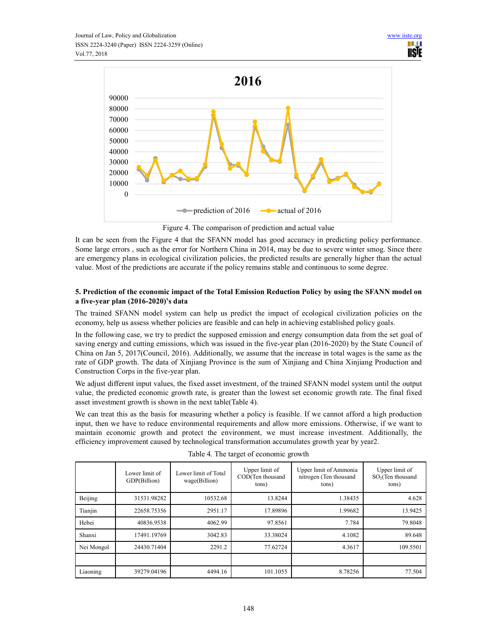

Figure 4. The comparison of prediction and actual value

It can be seen from the Figure 4 that the SFANN model has good accuracy in predicting policy performance. Some large errors , such as the error for Northern China in 2014, may be due to severe winter smog. Since there are emergency plans in ecological civilization policies, the predicted results are generally higher than the actual value. Most of the predictions are accurate if the policy remains stable and continuous to some degree.

# **5. Prediction of the economic impact of the Total Emission Reduction Policy by using the SFANN model on a five-year plan (2016-2020)'s data**

The trained SFANN model system can help us predict the impact of ecological civilization policies on the economy, help us assess whether policies are feasible and can help in achieving established policy goals.

In the following case, we try to predict the supposed emission and energy consumption data from the set goal of saving energy and cutting emissions, which was issued in the five-year plan (2016-2020) by the State Council of China on Jan 5, 2017(Council, 2016). Additionally, we assume that the increase in total wages is the same as the rate of GDP growth. The data of Xinjiang Province is the sum of Xinjiang and China Xinjiang Production and Construction Corps in the five-year plan.

We adjust different input values, the fixed asset investment, of the trained SFANN model system until the output value, the predicted economic growth rate, is greater than the lowest set economic growth rate. The final fixed asset investment growth is shown in the next table(Table 4).

We can treat this as the basis for measuring whether a policy is feasible. If we cannot afford a high production input, then we have to reduce environmental requirements and allow more emissions. Otherwise, if we want to maintain economic growth and protect the environment, we must increase investment. Additionally, the efficiency improvement caused by technological transformation accumulates growth year by year2.

|            | Lower limit of<br>GDP(Billion) | Lower limit of Total<br>wage(Billion) | Upper limit of<br>COD(Ten thousand<br>tons) | Upper limit of Ammonia<br>nitrogen (Ten thousand<br>tons) | Upper limit of<br>SO <sub>2</sub> (Ten thousand<br>tons) |
|------------|--------------------------------|---------------------------------------|---------------------------------------------|-----------------------------------------------------------|----------------------------------------------------------|
| Beijing    | 31531.98282                    | 10532.68                              | 13.8244                                     | 1.38435                                                   | 4.628                                                    |
| Tianjin    | 22658.75356                    | 2951.17                               | 17.89896                                    | 1.99682                                                   | 13.9425                                                  |
| Hebei      | 40836.9538                     | 4062.99                               | 97.8561                                     | 7.784                                                     | 79.8048                                                  |
| Shanxi     | 17491.19769                    | 3042.83                               | 33.38024                                    | 4.1082                                                    | 89.648                                                   |
| Nei Mongol | 24430.71404                    | 2291.2                                | 77.62724                                    | 4.3617                                                    | 109.5501                                                 |
|            |                                |                                       |                                             |                                                           |                                                          |
| Liaoning   | 39279.04196                    | 4494.16                               | 101.1055                                    | 8.78256                                                   | 77.504                                                   |

Table 4. The target of economic growth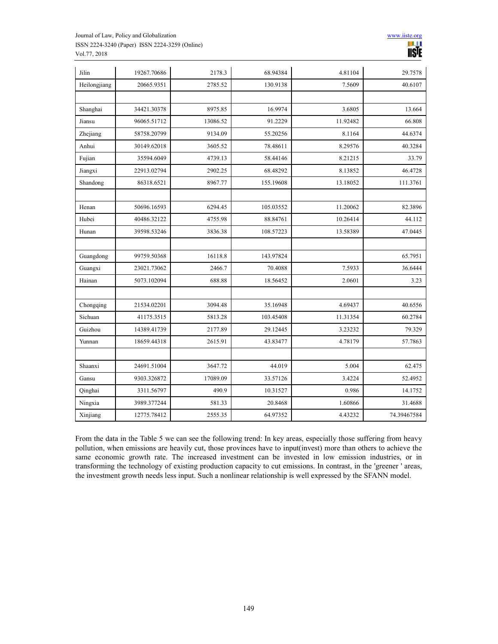

| Jilin        | 19267.70686 | 2178.3   | 68.94384  | 4.81104  | 29.7578     |
|--------------|-------------|----------|-----------|----------|-------------|
| Heilongjiang | 20665.9351  | 2785.52  | 130.9138  | 7.5609   | 40.6107     |
|              |             |          |           |          |             |
| Shanghai     | 34421.30378 | 8975.85  | 16.9974   | 3.6805   | 13.664      |
| Jiansu       | 96065.51712 | 13086.52 | 91.2229   | 11.92482 | 66.808      |
| Zhejiang     | 58758.20799 | 9134.09  | 55.20256  | 8.1164   | 44.6374     |
| Anhui        | 30149.62018 | 3605.52  | 78.48611  | 8.29576  | 40.3284     |
| Fujian       | 35594.6049  | 4739.13  | 58.44146  | 8.21215  | 33.79       |
| Jiangxi      | 22913.02794 | 2902.25  | 68.48292  | 8.13852  | 46.4728     |
| Shandong     | 86318.6521  | 8967.77  | 155.19608 | 13.18052 | 111.3761    |
|              |             |          |           |          |             |
| Henan        | 50696.16593 | 6294.45  | 105.03552 | 11.20062 | 82.3896     |
| Hubei        | 40486.32122 | 4755.98  | 88.84761  | 10.26414 | 44.112      |
| Hunan        | 39598.53246 | 3836.38  | 108.57223 | 13.58389 | 47.0445     |
|              |             |          |           |          |             |
| Guangdong    | 99759.50368 | 16118.8  | 143.97824 |          | 65.7951     |
| Guangxi      | 23021.73062 | 2466.7   | 70.4088   | 7.5933   | 36.6444     |
| Hainan       | 5073.102094 | 688.88   | 18.56452  | 2.0601   | 3.23        |
|              |             |          |           |          |             |
| Chongqing    | 21534.02201 | 3094.48  | 35.16948  | 4.69437  | 40.6556     |
| Sichuan      | 41175.3515  | 5813.28  | 103.45408 | 11.31354 | 60.2784     |
| Guizhou      | 14389.41739 | 2177.89  | 29.12445  | 3.23232  | 79.329      |
| Yunnan       | 18659.44318 | 2615.91  | 43.83477  | 4.78179  | 57.7863     |
|              |             |          |           |          |             |
| Shaanxi      | 24691.51004 | 3647.72  | 44.019    | 5.004    | 62.475      |
| Gansu        | 9303.326872 | 17089.09 | 33.57126  | 3.4224   | 52.4952     |
| Qinghai      | 3311.56797  | 490.9    | 10.31527  | 0.986    | 14.1752     |
| Ningxia      | 3989.377244 | 581.33   | 20.8468   | 1.60866  | 31.4688     |
| Xinjiang     | 12775.78412 | 2555.35  | 64.97352  | 4.43232  | 74.39467584 |

From the data in the Table 5 we can see the following trend: In key areas, especially those suffering from heavy pollution, when emissions are heavily cut, those provinces have to input(invest) more than others to achieve the same economic growth rate. The increased investment can be invested in low emission industries, or in transforming the technology of existing production capacity to cut emissions. In contrast, in the 'greener ' areas, the investment growth needs less input. Such a nonlinear relationship is well expressed by the SFANN model.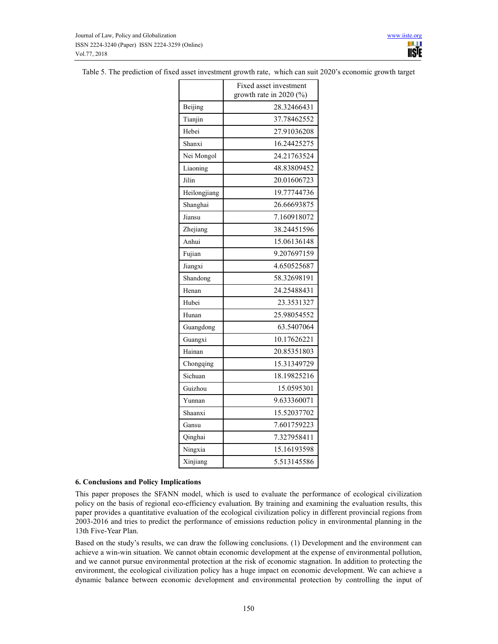| Table 5. The prediction of fixed asset investment growth rate, which can suit 2020's economic growth target |  |
|-------------------------------------------------------------------------------------------------------------|--|
|-------------------------------------------------------------------------------------------------------------|--|

|              | Fixed asset investment<br>growth rate in $2020$ (%) |
|--------------|-----------------------------------------------------|
| Beijing      | 28.32466431                                         |
| Tianjin      | 37.78462552                                         |
| Hebei        | 27.91036208                                         |
| Shanxi       | 16.24425275                                         |
| Nei Mongol   | 24.21763524                                         |
| Liaoning     | 48.83809452                                         |
| Jilin        | 20.01606723                                         |
| Heilongjiang | 19.77744736                                         |
| Shanghai     | 26.66693875                                         |
| Jiansu       | 7.160918072                                         |
| Zhejiang     | 38.24451596                                         |
| Anhui        | 15.06136148                                         |
| Fujian       | 9.207697159                                         |
| Jiangxi      | 4.650525687                                         |
| Shandong     | 58.32698191                                         |
| Henan        | 24.25488431                                         |
| Hubei        | 23.3531327                                          |
| Hunan        | 25.98054552                                         |
| Guangdong    | 63.5407064                                          |
| Guangxi      | 10.17626221                                         |
| Hainan       | 20.85351803                                         |
| Chongqing    | 15.31349729                                         |
| Sichuan      | 18.19825216                                         |
| Guizhou      | 15.0595301                                          |
| Yunnan       | 9.633360071                                         |
| Shaanxi      | 15.52037702                                         |
| Gansu        | 7.601759223                                         |
| Qinghai      | 7.327958411                                         |
| Ningxia      | 15.16193598                                         |
| Xinjiang     | 5.513145586                                         |

#### **6. Conclusions and Policy Implications**

This paper proposes the SFANN model, which is used to evaluate the performance of ecological civilization policy on the basis of regional eco-efficiency evaluation. By training and examining the evaluation results, this paper provides a quantitative evaluation of the ecological civilization policy in different provincial regions from 2003-2016 and tries to predict the performance of emissions reduction policy in environmental planning in the 13th Five-Year Plan.

Based on the study's results, we can draw the following conclusions. (1) Development and the environment can achieve a win-win situation. We cannot obtain economic development at the expense of environmental pollution, and we cannot pursue environmental protection at the risk of economic stagnation. In addition to protecting the environment, the ecological civilization policy has a huge impact on economic development. We can achieve a dynamic balance between economic development and environmental protection by controlling the input of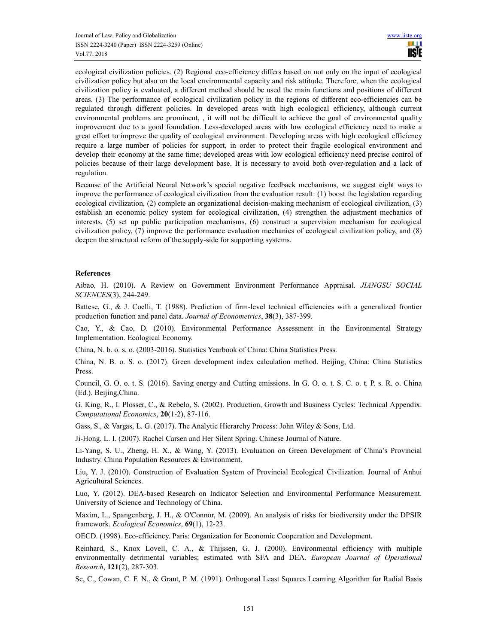ecological civilization policies. (2) Regional eco-efficiency differs based on not only on the input of ecological civilization policy but also on the local environmental capacity and risk attitude. Therefore, when the ecological civilization policy is evaluated, a different method should be used the main functions and positions of different areas. (3) The performance of ecological civilization policy in the regions of different eco-efficiencies can be regulated through different policies. In developed areas with high ecological efficiency, although current environmental problems are prominent, , it will not be difficult to achieve the goal of environmental quality improvement due to a good foundation. Less-developed areas with low ecological efficiency need to make a great effort to improve the quality of ecological environment. Developing areas with high ecological efficiency require a large number of policies for support, in order to protect their fragile ecological environment and develop their economy at the same time; developed areas with low ecological efficiency need precise control of policies because of their large development base. It is necessary to avoid both over-regulation and a lack of regulation.

Because of the Artificial Neural Network's special negative feedback mechanisms, we suggest eight ways to improve the performance of ecological civilization from the evaluation result: (1) boost the legislation regarding ecological civilization, (2) complete an organizational decision-making mechanism of ecological civilization, (3) establish an economic policy system for ecological civilization, (4) strengthen the adjustment mechanics of interests, (5) set up public participation mechanisms, (6) construct a supervision mechanism for ecological civilization policy, (7) improve the performance evaluation mechanics of ecological civilization policy, and (8) deepen the structural reform of the supply-side for supporting systems.

## **References**

Aibao, H. (2010). A Review on Government Environment Performance Appraisal. *JIANGSU SOCIAL SCIENCES*(3), 244-249.

Battese, G., & J. Coelli, T. (1988). Prediction of firm-level technical efficiencies with a generalized frontier production function and panel data. *Journal of Econometrics*, **38**(3), 387-399.

Cao, Y., & Cao, D. (2010). Environmental Performance Assessment in the Environmental Strategy Implementation. Ecological Economy.

China, N. b. o. s. o. (2003-2016). Statistics Yearbook of China: China Statistics Press.

China, N. B. o. S. o. (2017). Green development index calculation method. Beijing, China: China Statistics Press.

Council, G. O. o. t. S. (2016). Saving energy and Cutting emissions. In G. O. o. t. S. C. o. t. P. s. R. o. China (Ed.). Beijing,China.

G. King, R., I. Plosser, C., & Rebelo, S. (2002). Production, Growth and Business Cycles: Technical Appendix. *Computational Economics*, **20**(1-2), 87-116.

Gass, S., & Vargas, L. G. (2017). The Analytic Hierarchy Process: John Wiley & Sons, Ltd.

Ji-Hong, L. I. (2007). Rachel Carsen and Her Silent Spring. Chinese Journal of Nature.

Li-Yang, S. U., Zheng, H. X., & Wang, Y. (2013). Evaluation on Green Development of China's Provincial Industry. China Population Resources & Environment.

Liu, Y. J. (2010). Construction of Evaluation System of Provincial Ecological Civilization. Journal of Anhui Agricultural Sciences.

Luo, Y. (2012). DEA-based Research on Indicator Selection and Environmental Performance Measurement. University of Science and Technology of China.

Maxim, L., Spangenberg, J. H., & O'Connor, M. (2009). An analysis of risks for biodiversity under the DPSIR framework. *Ecological Economics*, **69**(1), 12-23.

OECD. (1998). Eco-efficiency. Paris: Organization for Economic Cooperation and Development.

Reinhard, S., Knox Lovell, C. A., & Thijssen, G. J. (2000). Environmental efficiency with multiple environmentally detrimental variables; estimated with SFA and DEA. *European Journal of Operational Research*, **121**(2), 287-303.

Sc, C., Cowan, C. F. N., & Grant, P. M. (1991). Orthogonal Least Squares Learning Algorithm for Radial Basis